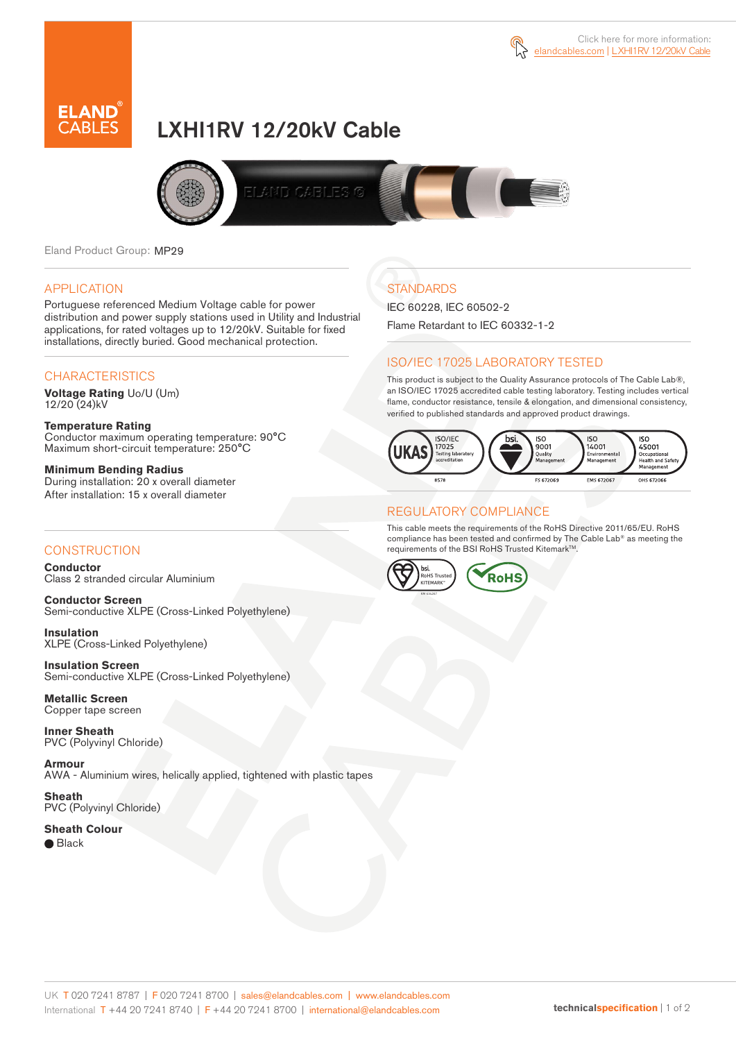



# LXHI1RV 12/20kV Cable



Eland Product Group: MP29

#### APPLICATION

Portuguese referenced Medium Voltage cable for power distribution and power supply stations used in Utility and Industrial applications, for rated voltages up to 12/20kV. Suitable for fixed installations, directly buried. Good mechanical protection.

### **CHARACTERISTICS**

**Voltage Rating** Uo/U (Um) 12/20 (24)kV

**Temperature Rating** Conductor maximum operating temperature: 90°C Maximum short-circuit temperature: 250°C

**Minimum Bending Radius** During installation: 20 x overall diameter After installation: 15 x overall diameter

### **CONSTRUCTION**

**Conductor**  Class 2 stranded circular Aluminium

**Conductor Screen** Semi-conductive XLPE (Cross-Linked Polyethylene)

**Insulation** XLPE (Cross-Linked Polyethylene)

**Insulation Screen** Semi-conductive XLPE (Cross-Linked Polyethylene)

**Metallic Screen**  Copper tape screen

**Inner Sheath** PVC (Polyvinyl Chloride)

**Armour** AWA - Aluminium wires, helically applied, tightened with plastic tapes

**Sheath** PVC (Polyvinyl Chloride)

**Sheath Colour**  ● Black

## **STANDARDS**

IEC 60228, IEC 60502-2 Flame Retardant to IEC 60332-1-2

### ISO/IEC 17025 LABORATORY TESTED

This product is subject to the Quality Assurance protocols of The Cable Lab®, an ISO/IEC 17025 accredited cable testing laboratory. Testing includes vertical flame, conductor resistance, tensile & elongation, and dimensional consistency, verified to published standards and approved product drawings.



#### REGULATORY COMPLIANCE

This cable meets the requirements of the RoHS Directive 2011/65/EU. RoHS compliance has been tested and confirmed by The Cable Lab® as meeting the requirements of the BSI RoHS Trusted Kitemark™.